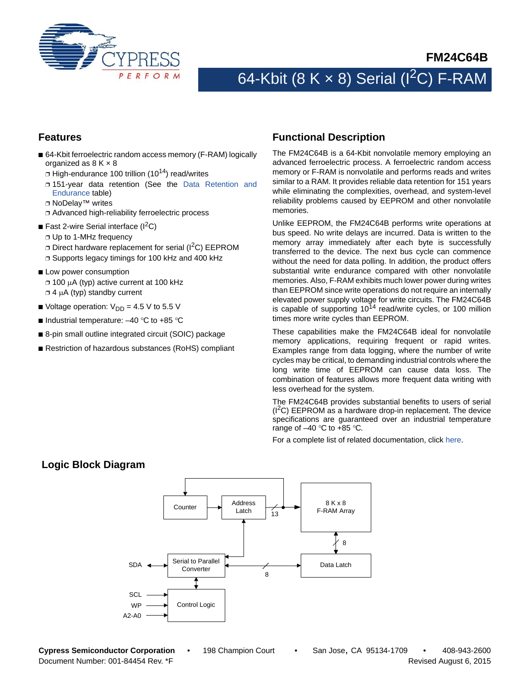

# 64-Kbit (8 K  $\times$  8) Serial (I<sup>2</sup>C) F-RAM

### **Features**

- 64-Kbit ferroelectric random access memory (F-RAM) logically organized as  $8 K \times 8$ 
	- $\Box$  High-endurance 100 trillion (10<sup>14</sup>) read/writes
	- ❐ 151-year data retention (See the [Data Retention and](#page-9-0) [Endurance](#page-9-0) table)
	- ❐ NoDelay™ writes
	- ❐ Advanced high-reliability ferroelectric process
- Fast 2-wire Serial interface  $(I^2C)$ 
	- ❐ Up to 1-MHz frequency
	- ❐ Direct hardware replacement for serial (I2C) EEPROM
- ❐ Supports legacy timings for 100 kHz and 400 kHz
- Low power consumption ❐ 100 A (typ) active current at 100 kHz  $\Box$  4  $\mu$ A (typ) standby current
- Voltage operation:  $V_{DD} = 4.5 V$  to 5.5 V
- Industrial temperature:  $-40$  °C to +85 °C
- 8-pin small outline integrated circuit (SOIC) package
- Restriction of hazardous substances (RoHS) compliant

#### <span id="page-0-0"></span>**Functional Description**

The FM24C64B is a 64-Kbit nonvolatile memory employing an advanced ferroelectric process. A ferroelectric random access memory or F-RAM is nonvolatile and performs reads and writes similar to a RAM. It provides reliable data retention for 151 years while eliminating the complexities, overhead, and system-level reliability problems caused by EEPROM and other nonvolatile memories.

Unlike EEPROM, the FM24C64B performs write operations at bus speed. No write delays are incurred. Data is written to the memory array immediately after each byte is successfully transferred to the device. The next bus cycle can commence without the need for data polling. In addition, the product offers substantial write endurance compared with other nonvolatile memories. Also, F-RAM exhibits much lower power during writes than EEPROM since write operations do not require an internally elevated power supply voltage for write circuits. The FM24C64B is capable of supporting  $10^{14}$  read/write cycles, or 100 million times more write cycles than EEPROM.

These capabilities make the FM24C64B ideal for nonvolatile memory applications, requiring frequent or rapid writes. Examples range from data logging, where the number of write cycles may be critical, to demanding industrial controls where the long write time of EEPROM can cause data loss. The combination of features allows more frequent data writing with less overhead for the system.

The FM24C64B provides substantial benefits to users of serial  $(1^2C)$  EEPROM as a hardware drop-in replacement. The device specifications are guaranteed over an industrial temperature range of  $-40$  °C to  $+85$  °C.

For a complete list of related documentation, click [here](http://www.cypress.com/?rID=73453).



### **Logic Block Diagram**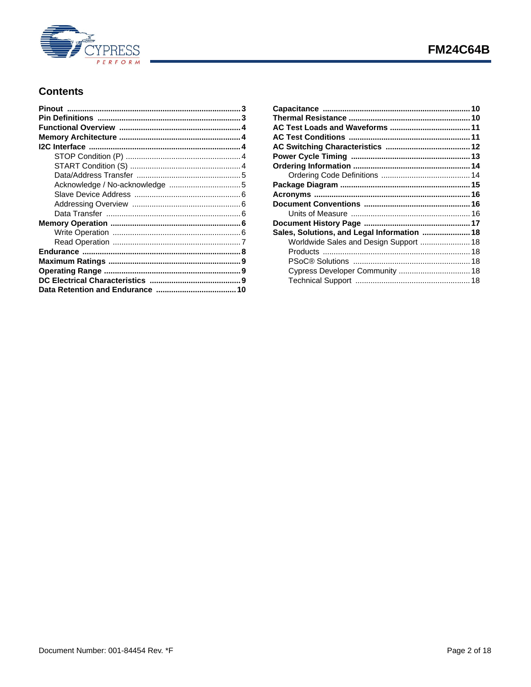

## **Contents**

| Sales, Solutions, and Legal Information  18 |  |
|---------------------------------------------|--|
| Worldwide Sales and Design Support  18      |  |
|                                             |  |
|                                             |  |
| Cypress Developer Community  18             |  |
|                                             |  |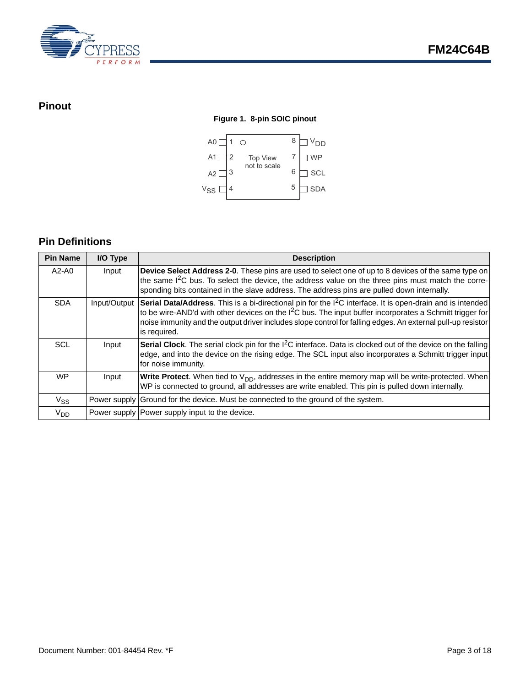

## <span id="page-2-0"></span>**Pinout**

#### **Figure 1. 8-pin SOIC pinout**



## <span id="page-2-1"></span>**Pin Definitions**

| <b>Pin Name</b> | I/O Type     | <b>Description</b>                                                                                                                                                                                                                                                                                                                                                            |
|-----------------|--------------|-------------------------------------------------------------------------------------------------------------------------------------------------------------------------------------------------------------------------------------------------------------------------------------------------------------------------------------------------------------------------------|
| A2-A0           | Input        | Device Select Address 2-0. These pins are used to select one of up to 8 devices of the same type on<br>the same I <sup>2</sup> C bus. To select the device, the address value on the three pins must match the corre-<br>sponding bits contained in the slave address. The address pins are pulled down internally.                                                           |
| <b>SDA</b>      | Input/Output | Serial Data/Address. This is a bi-directional pin for the I <sup>2</sup> C interface. It is open-drain and is intended<br>to be wire-AND'd with other devices on the I <sup>2</sup> C bus. The input buffer incorporates a Schmitt trigger for<br>noise immunity and the output driver includes slope control for falling edges. An external pull-up resistor<br>is required. |
| <b>SCL</b>      | Input        | <b>Serial Clock</b> . The serial clock pin for the $1^2C$ interface. Data is clocked out of the device on the falling<br>edge, and into the device on the rising edge. The SCL input also incorporates a Schmitt trigger input<br>for noise immunity.                                                                                                                         |
| <b>WP</b>       | Input        | <b>Write Protect.</b> When tied to $V_{DD}$ , addresses in the entire memory map will be write-protected. When<br>WP is connected to ground, all addresses are write enabled. This pin is pulled down internally.                                                                                                                                                             |
| $V_{SS}$        |              | Power supply Ground for the device. Must be connected to the ground of the system.                                                                                                                                                                                                                                                                                            |
| V <sub>DD</sub> |              | Power supply   Power supply input to the device.                                                                                                                                                                                                                                                                                                                              |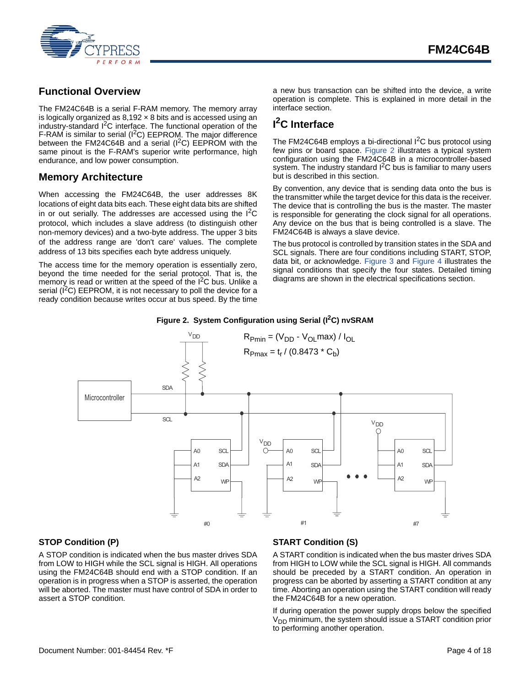

## <span id="page-3-0"></span>**Functional Overview**

The FM24C64B is a serial F-RAM memory. The memory array is logically organized as  $8,192 \times 8$  bits and is accessed using an industry-standard I<sup>2</sup>C interface. The functional operation of the F-RAM is similar to serial  $(I^2C)$  EEPROM. The major difference between the FM24C64B and a serial  $(I^2C)$  EEPROM with the same pinout is the F-RAM's superior write performance, high endurance, and low power consumption.

## <span id="page-3-1"></span>**Memory Architecture**

When accessing the FM24C64B, the user addresses 8K locations of eight data bits each. These eight data bits are shifted in or out serially. The addresses are accessed using the  $1^2C$ protocol, which includes a slave address (to distinguish other non-memory devices) and a two-byte address. The upper 3 bits of the address range are 'don't care' values. The complete address of 13 bits specifies each byte address uniquely.

The access time for the memory operation is essentially zero, beyond the time needed for the serial protocol. That is, the memory is read or written at the speed of the  $I<sup>2</sup>C$  bus. Unlike a serial ( $I^2C$ ) EEPROM, it is not necessary to poll the device for a ready condition because writes occur at bus speed. By the time

a new bus transaction can be shifted into the device, a write operation is complete. This is explained in more detail in the interface section.

## <span id="page-3-2"></span>**I 2C Interface**

The FM24C64B employs a bi-directional  $1<sup>2</sup>C$  bus protocol using few pins or board space. [Figure 2](#page-3-5) illustrates a typical system configuration using the FM24C64B in a microcontroller-based system. The industry standard  $I<sup>2</sup>C$  bus is familiar to many users but is described in this section.

By convention, any device that is sending data onto the bus is the transmitter while the target device for this data is the receiver. The device that is controlling the bus is the master. The master is responsible for generating the clock signal for all operations. Any device on the bus that is being controlled is a slave. The FM24C64B is always a slave device.

The bus protocol is controlled by transition states in the SDA and SCL signals. There are four conditions including START, STOP, data bit, or acknowledge. [Figure 3](#page-4-2) and [Figure 4](#page-4-3) illustrates the signal conditions that specify the four states. Detailed timing diagrams are shown in the electrical specifications section.

#### Figure 2. System Configuration using Serial (I<sup>2</sup>C) nvSRAM

<span id="page-3-5"></span>

#### <span id="page-3-3"></span>**STOP Condition (P)**

A STOP condition is indicated when the bus master drives SDA from LOW to HIGH while the SCL signal is HIGH. All operations using the FM24C64B should end with a STOP condition. If an operation is in progress when a STOP is asserted, the operation will be aborted. The master must have control of SDA in order to assert a STOP condition.

### <span id="page-3-4"></span>**START Condition (S)**

A START condition is indicated when the bus master drives SDA from HIGH to LOW while the SCL signal is HIGH. All commands should be preceded by a START condition. An operation in progress can be aborted by asserting a START condition at any time. Aborting an operation using the START condition will ready the FM24C64B for a new operation.

If during operation the power supply drops below the specified  $V<sub>DD</sub>$  minimum, the system should issue a START condition prior to performing another operation.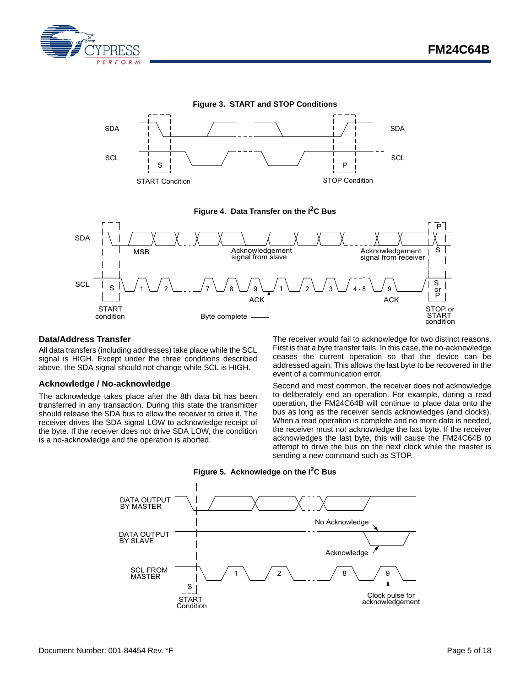

<span id="page-4-2"></span>



<span id="page-4-3"></span>

#### <span id="page-4-0"></span>**Data/Address Transfer**

All data transfers (including addresses) take place while the SCL signal is HIGH. Except under the three conditions described above, the SDA signal should not change while SCL is HIGH.

#### <span id="page-4-1"></span>**Acknowledge / No-acknowledge**

The acknowledge takes place after the 8th data bit has been transferred in any transaction. During this state the transmitter should release the SDA bus to allow the receiver to drive it. The receiver drives the SDA signal LOW to acknowledge receipt of the byte. If the receiver does not drive SDA LOW, the condition is a no-acknowledge and the operation is aborted.

The receiver would fail to acknowledge for two distinct reasons. First is that a byte transfer fails. In this case, the no-acknowledge ceases the current operation so that the device can be addressed again. This allows the last byte to be recovered in the event of a communication error.

Second and most common, the receiver does not acknowledge to deliberately end an operation. For example, during a read operation, the FM24C64B will continue to place data onto the bus as long as the receiver sends acknowledges (and clocks). When a read operation is complete and no more data is needed, the receiver must not acknowledge the last byte. If the receiver acknowledges the last byte, this will cause the FM24C64B to attempt to drive the bus on the next clock while the master is sending a new command such as STOP.



**Figure 5. Acknowledge on the I2C Bus**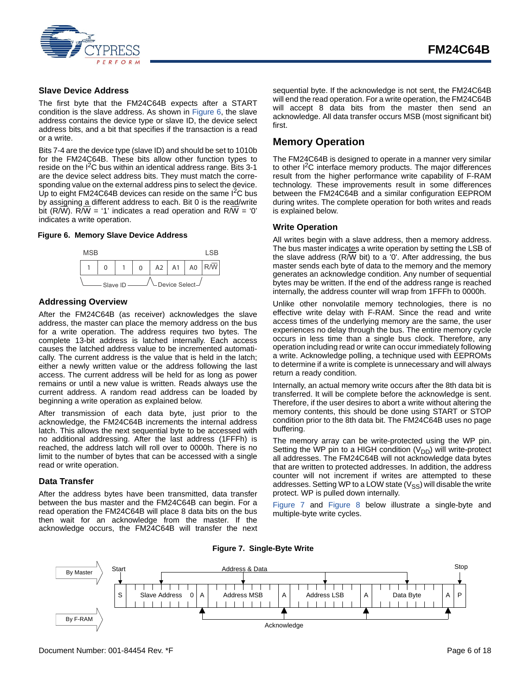

#### <span id="page-5-0"></span>**Slave Device Address**

The first byte that the FM24C64B expects after a START condition is the slave address. As shown in [Figure 6](#page-5-6), the slave address contains the device type or slave ID, the device select address bits, and a bit that specifies if the transaction is a read or a write.

Bits 7-4 are the device type (slave ID) and should be set to 1010b for the FM24C64B. These bits allow other function types to reside on the  $I^2C$  bus within an identical address range. Bits 3-1 are the device select address bits. They must match the corresponding value on the external address pins to select the device. Up to eight FM24C64B devices can reside on the same  $I^2C$  bus by assigning a different address to each. Bit 0 is the read/write bit (R/W). R/W = '1' indicates a read operation and R/W = '0' indicates a write operation.

#### <span id="page-5-6"></span>**Figure 6. Memory Slave Device Address**



#### <span id="page-5-1"></span>**Addressing Overview**

After the FM24C64B (as receiver) acknowledges the slave address, the master can place the memory address on the bus for a write operation. The address requires two bytes. The complete 13-bit address is latched internally. Each access causes the latched address value to be incremented automatically. The current address is the value that is held in the latch; either a newly written value or the address following the last access. The current address will be held for as long as power remains or until a new value is written. Reads always use the current address. A random read address can be loaded by beginning a write operation as explained below.

After transmission of each data byte, just prior to the acknowledge, the FM24C64B increments the internal address latch. This allows the next sequential byte to be accessed with no additional addressing. After the last address (1FFFh) is reached, the address latch will roll over to 0000h. There is no limit to the number of bytes that can be accessed with a single read or write operation.

#### <span id="page-5-2"></span>**Data Transfer**

After the address bytes have been transmitted, data transfer between the bus master and the FM24C64B can begin. For a read operation the FM24C64B will place 8 data bits on the bus then wait for an acknowledge from the master. If the acknowledge occurs, the FM24C64B will transfer the next

sequential byte. If the acknowledge is not sent, the FM24C64B will end the read operation. For a write operation, the FM24C64B will accept 8 data bits from the master then send an acknowledge. All data transfer occurs MSB (most significant bit) first.

#### <span id="page-5-3"></span>**Memory Operation**

The FM24C64B is designed to operate in a manner very similar to other I<sup>2</sup>C interface memory products. The major differences result from the higher performance write capability of F-RAM technology. These improvements result in some differences between the FM24C64B and a similar configuration EEPROM during writes. The complete operation for both writes and reads is explained below.

#### <span id="page-5-4"></span>**Write Operation**

All writes begin with a slave address, then a memory address. The bus master indicates a write operation by setting the LSB of the slave address ( $R/\overline{W}$  bit) to a '0'. After addressing, the bus master sends each byte of data to the memory and the memory generates an acknowledge condition. Any number of sequential bytes may be written. If the end of the address range is reached internally, the address counter will wrap from 1FFFh to 0000h.

Unlike other nonvolatile memory technologies, there is no effective write delay with F-RAM. Since the read and write access times of the underlying memory are the same, the user experiences no delay through the bus. The entire memory cycle occurs in less time than a single bus clock. Therefore, any operation including read or write can occur immediately following a write. Acknowledge polling, a technique used with EEPROMs to determine if a write is complete is unnecessary and will always return a ready condition.

Internally, an actual memory write occurs after the 8th data bit is transferred. It will be complete before the acknowledge is sent. Therefore, if the user desires to abort a write without altering the memory contents, this should be done using START or STOP condition prior to the 8th data bit. The FM24C64B uses no page buffering.

The memory array can be write-protected using the WP pin. Setting the WP pin to a HIGH condition  $(V_{DD})$  will write-protect all addresses. The FM24C64B will not acknowledge data bytes that are written to protected addresses. In addition, the address counter will not increment if writes are attempted to these addresses. Setting WP to a LOW state  $(V_{SS})$  will disable the write protect. WP is pulled down internally.

[Figure 7](#page-5-5) and [Figure 8](#page-6-1) below illustrate a single-byte and multiple-byte write cycles.

<span id="page-5-5"></span>

**Figure 7. Single-Byte Write**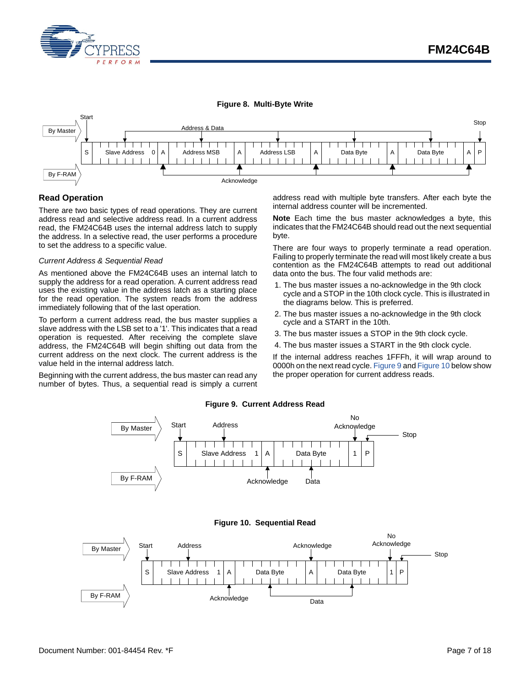

#### **Figure 8. Multi-Byte Write**

<span id="page-6-1"></span>

#### <span id="page-6-0"></span>**Read Operation**

There are two basic types of read operations. They are current address read and selective address read. In a current address read, the FM24C64B uses the internal address latch to supply the address. In a selective read, the user performs a procedure to set the address to a specific value.

#### *Current Address & Sequential Read*

As mentioned above the FM24C64B uses an internal latch to supply the address for a read operation. A current address read uses the existing value in the address latch as a starting place for the read operation. The system reads from the address immediately following that of the last operation.

To perform a current address read, the bus master supplies a slave address with the LSB set to a '1'. This indicates that a read operation is requested. After receiving the complete slave address, the FM24C64B will begin shifting out data from the current address on the next clock. The current address is the value held in the internal address latch.

<span id="page-6-2"></span>Beginning with the current address, the bus master can read any number of bytes. Thus, a sequential read is simply a current address read with multiple byte transfers. After each byte the internal address counter will be incremented.

**Note** Each time the bus master acknowledges a byte, this indicates that the FM24C64B should read out the next sequential byte.

There are four ways to properly terminate a read operation. Failing to properly terminate the read will most likely create a bus contention as the FM24C64B attempts to read out additional data onto the bus. The four valid methods are:

- 1. The bus master issues a no-acknowledge in the 9th clock cycle and a STOP in the 10th clock cycle. This is illustrated in the diagrams below. This is preferred.
- 2. The bus master issues a no-acknowledge in the 9th clock cycle and a START in the 10th.
- 3. The bus master issues a STOP in the 9th clock cycle.
- 4. The bus master issues a START in the 9th clock cycle.

If the internal address reaches 1FFFh, it will wrap around to 0000h on the next read cycle. [Figure 9](#page-6-2) and [Figure 10](#page-6-3) below show the proper operation for current address reads.

### **Figure 9. Current Address Read**





<span id="page-6-3"></span>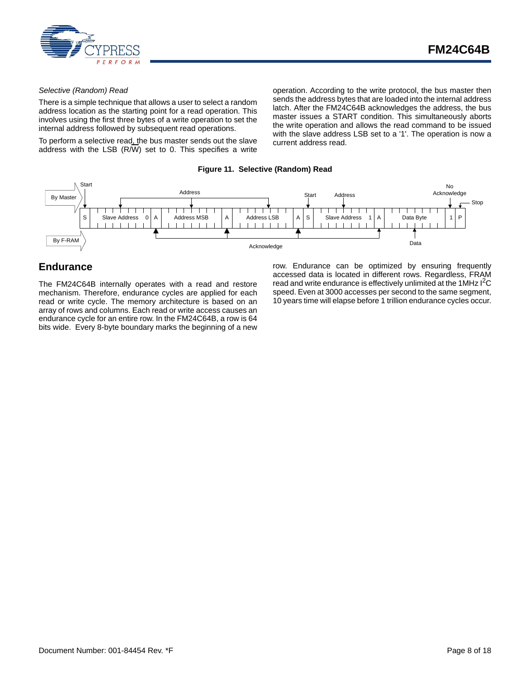

#### *Selective (Random) Read*

There is a simple technique that allows a user to select a random address location as the starting point for a read operation. This involves using the first three bytes of a write operation to set the internal address followed by subsequent read operations.

To perform a selective read, the bus master sends out the slave address with the LSB (R/W) set to 0. This specifies a write operation. According to the write protocol, the bus master then sends the address bytes that are loaded into the internal address latch. After the FM24C64B acknowledges the address, the bus master issues a START condition. This simultaneously aborts the write operation and allows the read command to be issued with the slave address LSB set to a '1'. The operation is now a current address read.

#### **Figure 11. Selective (Random) Read**



### <span id="page-7-0"></span>**Endurance**

The FM24C64B internally operates with a read and restore mechanism. Therefore, endurance cycles are applied for each read or write cycle. The memory architecture is based on an array of rows and columns. Each read or write access causes an endurance cycle for an entire row. In the FM24C64B, a row is 64 bits wide. Every 8-byte boundary marks the beginning of a new row. Endurance can be optimized by ensuring frequently accessed data is located in different rows. Regardless, FRAM read and write endurance is effectively unlimited at the 1MHz I<sup>2</sup>C speed. Even at 3000 accesses per second to the same segment, 10 years time will elapse before 1 trillion endurance cycles occur.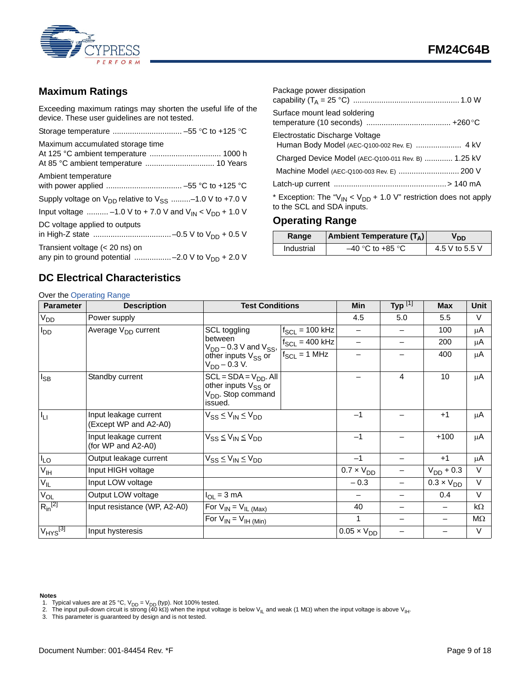

## <span id="page-8-0"></span>**Maximum Ratings**

Exceeding maximum ratings may shorten the useful life of the device. These user guidelines are not tested.

| Maximum accumulated storage time                                                           |
|--------------------------------------------------------------------------------------------|
| Ambient temperature                                                                        |
| Supply voltage on $V_{DD}$ relative to $V_{SS}$ -1.0 V to +7.0 V                           |
| Input voltage  -1.0 V to + 7.0 V and $V_{IN}$ < $V_{DD}$ + 1.0 V                           |
| DC voltage applied to outputs                                                              |
| Transient voltage $(< 20$ ns) on<br>any pin to ground potential -2.0 V to $V_{DD}$ + 2.0 V |

| Package power dissipation                                                                                |  |
|----------------------------------------------------------------------------------------------------------|--|
| Surface mount lead soldering                                                                             |  |
| Electrostatic Discharge Voltage                                                                          |  |
| Charged Device Model (AEC-Q100-011 Rev. B)  1.25 kV                                                      |  |
|                                                                                                          |  |
|                                                                                                          |  |
| * Exception: The " $V_{IN}$ < $V_{DD}$ + 1.0 V" restriction does not apply<br>to the SCL and SDA inputs. |  |

## <span id="page-8-1"></span>**Operating Range**

| Range      | Ambient Temperature $(T_A)$ | חח             |
|------------|-----------------------------|----------------|
| Industrial | $-40$ °C to +85 °C          | 4.5 V to 5.5 V |

## <span id="page-8-2"></span>**DC Electrical Characteristics**

## Over the [Operating Range](#page-8-1)

| Ovor the Operating Kange<br><b>Parameter</b> | <b>Description</b>                             | <b>Test Conditions</b>                                                                                  |                     | Min                  | Typ $^{[1]}$ | <b>Max</b>          | Unit      |
|----------------------------------------------|------------------------------------------------|---------------------------------------------------------------------------------------------------------|---------------------|----------------------|--------------|---------------------|-----------|
| <b>V<sub>DD</sub></b>                        | Power supply                                   |                                                                                                         |                     | 4.5                  | 5.0          | 5.5                 | V         |
| $I_{DD}$                                     | Average V <sub>DD</sub> current                | SCL toggling                                                                                            | $f_{SCL}$ = 100 kHz |                      |              | 100                 | μA        |
|                                              |                                                | between<br>$V_{DD}$ – 0.3 V and $V_{SS}$ ,                                                              | $f_{SCL} = 400$ kHz |                      |              | 200                 | μA        |
|                                              |                                                | other inputs $V_{SS}$ or<br>$V_{DD} - 0.3 V.$                                                           | $f_{SCL} = 1 MHz$   |                      |              | 400                 | μA        |
| $I_{SB}$                                     | Standby current                                | $SCL = SDA = VDD$ . All<br>other inputs V <sub>SS</sub> or<br>V <sub>DD</sub> . Stop command<br>issued. |                     |                      | 4            | 10                  | μA        |
| $I_{LI}$                                     | Input leakage current<br>(Except WP and A2-A0) | $V_{SS} \leq V_{IN} \leq V_{DD}$                                                                        |                     | $-1$                 |              | $+1$                | μA        |
|                                              | Input leakage current<br>(for WP and A2-A0)    | $V_{SS} \leq V_{IN} \leq V_{DD}$                                                                        |                     | $-1$                 |              | $+100$              | μA        |
| $I_{LO}$                                     | Output leakage current                         | $V_{SS} \leq V_{IN} \leq V_{DD}$                                                                        |                     | $-1$                 |              | $+1$                | μA        |
| V <sub>IH</sub>                              | Input HIGH voltage                             |                                                                                                         |                     | $0.7 \times V_{DD}$  |              | $V_{DD}$ + 0.3      | V         |
| $V_{IL}$                                     | Input LOW voltage                              |                                                                                                         |                     | $-0.3$               |              | $0.3 \times V_{DD}$ | $\vee$    |
| $V_{OL}$                                     | Output LOW voltage                             | $I_{OL} = 3 mA$                                                                                         |                     |                      |              | 0.4                 | $\vee$    |
| $R_{in}^{[2]}$                               | Input resistance (WP, A2-A0)                   | For $V_{IN} = V_{IL \,(Max)}$                                                                           |                     | 40                   |              |                     | kΩ        |
|                                              | For $V_{IN} = V_{IH (Min)}$                    |                                                                                                         |                     | 1                    |              |                     | $M\Omega$ |
| $V_{HYS}$ <sup>[3]</sup>                     | Input hysteresis                               |                                                                                                         |                     | $0.05 \times V_{DD}$ |              |                     | $\vee$    |

#### **Notes**

- <span id="page-8-4"></span>1. Typical values are at 25 °C, V<sub>DD</sub> = V<sub>DD</sub> (typ). Not 100% tested.<br>2. The input pull-down circuit is strong (40 kΩ) when the input voltage is below V<sub>IL</sub> and weak (1 MΩ) when the input voltage is above V<sub>IH</sub>.<br>3. This
- <span id="page-8-5"></span>

<span id="page-8-3"></span>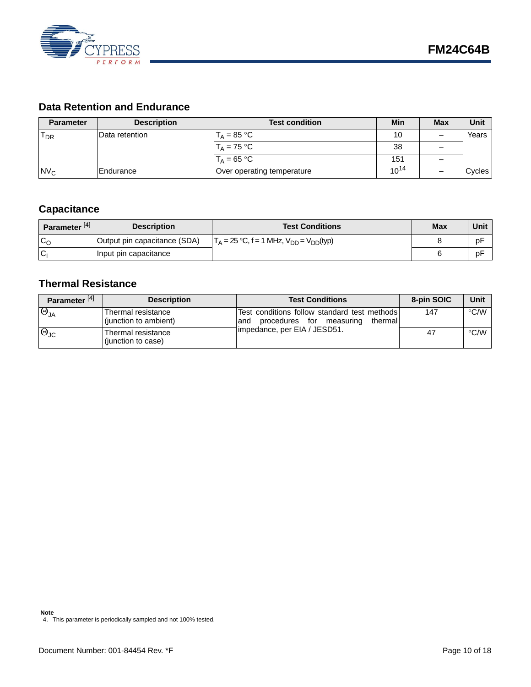

## <span id="page-9-0"></span>**Data Retention and Endurance**

| <b>Parameter</b> | <b>Description</b> | <b>Test condition</b>      | Min       | <b>Max</b> | Unit   |
|------------------|--------------------|----------------------------|-----------|------------|--------|
| $T_{DR}$         | lData retention    | $T_A = 85 °C$              | 10        |            | Years  |
|                  |                    | $T_A = 75 °C$              | 38        |            |        |
|                  |                    | $T_A = 65 °C$              | 151       |            |        |
| N <sub>C</sub>   | <b>IEndurance</b>  | Over operating temperature | $10^{14}$ |            | Cycles |

## <span id="page-9-1"></span>**Capacitance**

| Parameter <sup>[4]</sup> | <b>Description</b>           | <b>Test Conditions</b>                                                      | <b>Max</b> | Unit |
|--------------------------|------------------------------|-----------------------------------------------------------------------------|------------|------|
| $c_{\Omega}$             | Output pin capacitance (SDA) | $\Gamma_{\Delta} = 25 \text{ °C}, f = 1 \text{ MHz}, V_{DD} = V_{DD} (typ)$ |            | pF   |
| 'Cı                      | Input pin capacitance        |                                                                             |            | рF   |

## <span id="page-9-2"></span>**Thermal Resistance**

| Parameter <sup>[4]</sup> | <b>Description</b>                          | <b>Test Conditions</b>                                                                      | 8-pin SOIC | Unit               |
|--------------------------|---------------------------------------------|---------------------------------------------------------------------------------------------|------------|--------------------|
| $\Theta_{JA}$            | Thermal resistance<br>(junction to ambient) | Test conditions follow standard test methods<br>procedures for measuring<br>thermall<br>and | 147        | °C/W               |
| $\Theta_{\text{JC}}$     | Thermal resistance<br>(junction to case)    | 1impedance, per EIA / JESD51.                                                               | 47         | $\rm ^{\circ}$ C/W |

#### **Note**

<span id="page-9-3"></span><sup>4.</sup> This parameter is periodically sampled and not 100% tested.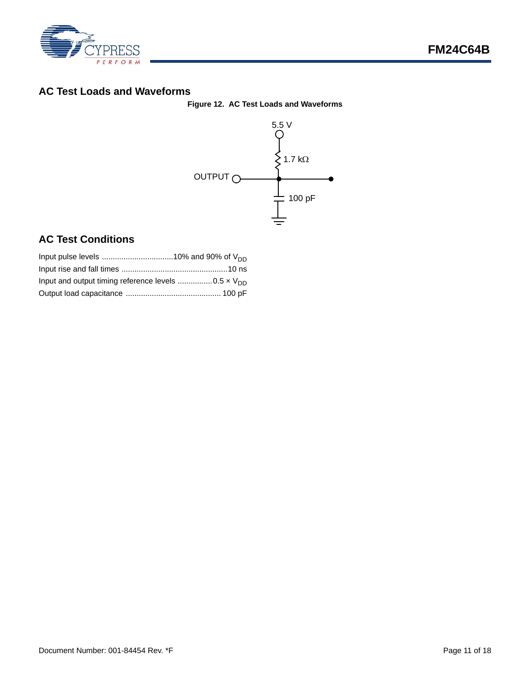

## <span id="page-10-2"></span><span id="page-10-0"></span>**AC Test Loads and Waveforms**



## <span id="page-10-1"></span>**AC Test Conditions**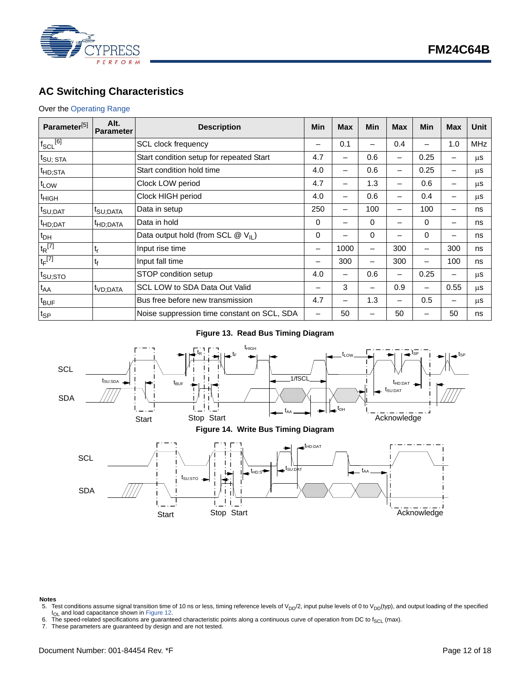

## <span id="page-11-0"></span>**AC Switching Characteristics**

#### Over the [Operating Range](#page-8-1)

| Parameter <sup>[5]</sup> | Alt.<br><b>Parameter</b> | <b>Description</b>                            | Min                      | <b>Max</b> | Min | <b>Max</b>               | <b>Min</b> | <b>Max</b> | Unit       |
|--------------------------|--------------------------|-----------------------------------------------|--------------------------|------------|-----|--------------------------|------------|------------|------------|
| $f_{SCL}$ <sup>[6]</sup> |                          | SCL clock frequency                           |                          | 0.1        |     | 0.4                      |            | 1.0        | <b>MHz</b> |
| t <sub>SU; STA</sub>     |                          | Start condition setup for repeated Start      | 4.7                      | -          | 0.6 | -                        | 0.25       | -          | μS         |
| <sup>t</sup> HD;STA      |                          | Start condition hold time                     | 4.0                      | -          | 0.6 |                          | 0.25       | -          | μS         |
| t <sub>LOW</sub>         |                          | Clock LOW period                              | 4.7                      | -          | 1.3 | $\overline{\phantom{m}}$ | 0.6        | -          | μS         |
| <sup>t</sup> HIGH        |                          | Clock HIGH period                             | 4.0                      |            | 0.6 | -                        | 0.4        | -          | μS         |
| t <sub>SU;DAT</sub>      | <sup>t</sup> SU:DATA     | Data in setup                                 | 250                      |            | 100 | -                        | 100        | -          | ns         |
| <sup>t</sup> HD;DAT      | <sup>t</sup> HD;DATA     | Data in hold                                  | 0                        | -          | 0   | -                        | 0          | -          | ns         |
| $t_{DH}$                 |                          | Data output hold (from SCL $@V_{\text{II}}$ ) | 0                        |            | 0   |                          | 0          | -          | ns         |
| $t_R$ <sup>[7]</sup>     | ւ,                       | Input rise time                               | $\overline{\phantom{m}}$ | 1000       | -   | 300                      | —          | 300        | ns         |
| $t_F$ <sup>[7]</sup>     | t <sub>f</sub>           | Input fall time                               |                          | 300        |     | 300                      | —          | 100        | ns         |
| t <sub>SU;STO</sub>      |                          | STOP condition setup                          | 4.0                      | -          | 0.6 | —                        | 0.25       | -          | μS         |
| $t_{AA}$                 | <sup>t</sup> VD;DATA     | SCL LOW to SDA Data Out Valid                 |                          | 3          | -   | 0.9                      |            | 0.55       | μs         |
| $t_{\text{BUF}}$         |                          | Bus free before new transmission              | 4.7                      |            | 1.3 |                          | 0.5        | -          | μS         |
| $t_{\mathsf{SP}}$        |                          | Noise suppression time constant on SCL, SDA   |                          | 50         |     | 50                       |            | 50         | ns         |

#### **Figure 13. Read Bus Timing Diagram**



## **Notes**<br>5. Te

- <span id="page-11-1"></span>5. Test conditions assume signal transition time of 10 ns or less, timing reference levels of V<sub>DD</sub>/2, input pulse levels of 0 to V<sub>DD</sub>(typ), and output loading of the specified lo<sub>L</sub> and load capacitance shown in Figure 1
- <span id="page-11-2"></span>6. The speed-related specifications are guaranteed characteristic points along a continuous curve of operation from DC to  $f_{SCL}$  (max).<br>7. These parameters are guaranteed by design and are not tested.
- <span id="page-11-3"></span>These parameters are guaranteed by design and are not tested.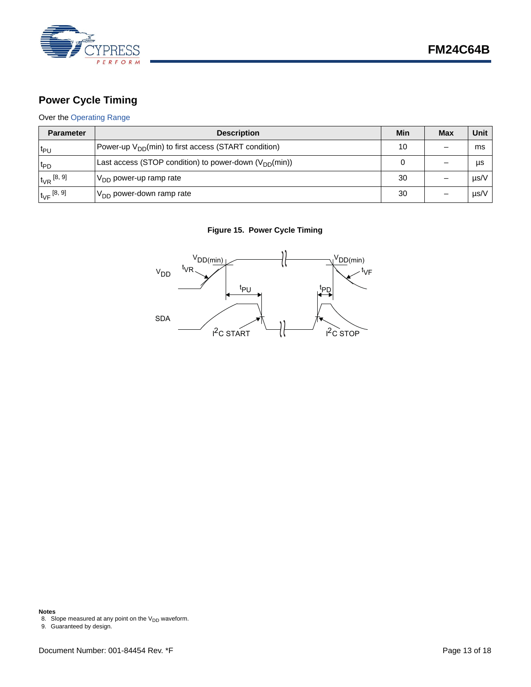

## <span id="page-12-0"></span>**Power Cycle Timing**

### Over the [Operating Range](#page-8-1)

| <b>Parameter</b>    | <b>Description</b>                                         | Min | <b>Max</b> | Unit |
|---------------------|------------------------------------------------------------|-----|------------|------|
| $t_{PU}$            | Power-up $V_{DD}(min)$ to first access (START condition)   | 10  |            | ms   |
| <sup>t</sup> PD     | Last access (STOP condition) to power-down $(V_{DD}(min))$ |     |            | μs   |
| $t_{VR}$ [8, 9]     | D <sub>DD</sub> power-up ramp rate                         | 30  |            | µs/V |
| $t_{\rm VF}$ [8, 9] | $V_{DD}$ power-down ramp rate                              | 30  |            | µs/V |

#### **Figure 15. Power Cycle Timing**



<span id="page-12-2"></span>**Notes**<br>8. Slope measured at any point on the V<sub>DD</sub> waveform.<br>9. Guaranteed by design.

<span id="page-12-1"></span>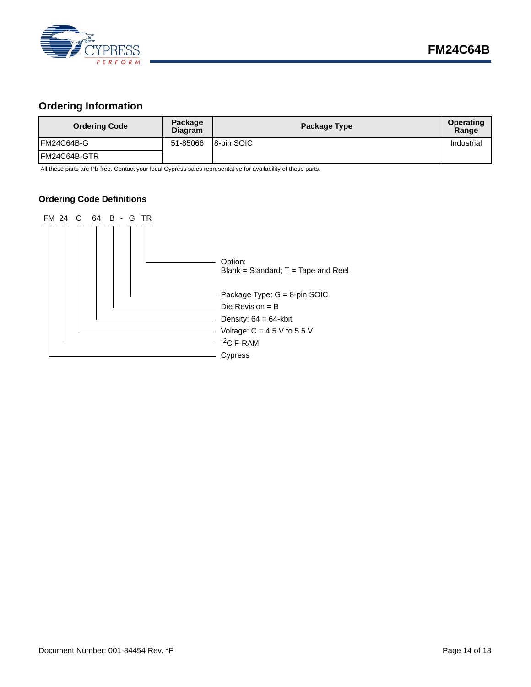

## <span id="page-13-0"></span>**Ordering Information**

| <b>Ordering Code</b> | Package<br><b>Diagram</b> | Package Type | Operating<br>Range |
|----------------------|---------------------------|--------------|--------------------|
| FM24C64B-G           | 51-85066                  | 8-pin SOIC   | Industrial         |
| FM24C64B-GTR         |                           |              |                    |

All these parts are Pb-free. Contact your local Cypress sales representative for availability of these parts.

#### <span id="page-13-1"></span>**Ordering Code Definitions**

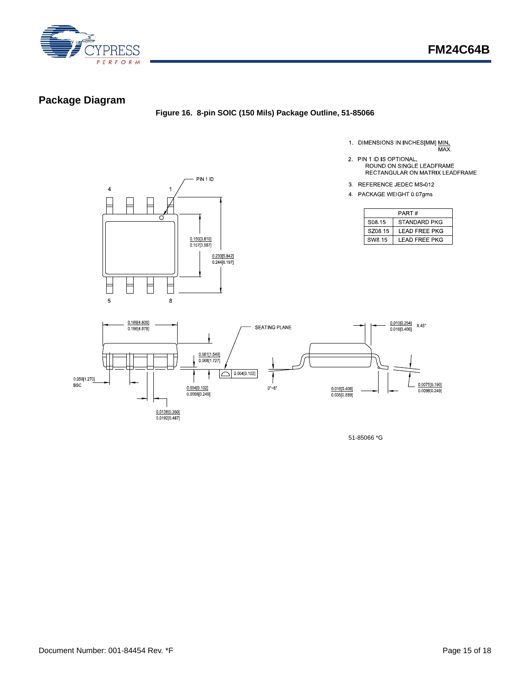

## <span id="page-14-0"></span>**Package Diagram**

**Figure 16. 8-pin SOIC (150 Mils) Package Outline, 51-85066**

- 1. DIMENSIONS IN INCHES[MM] MIN.<br>MAX.
- 2. PIN 1 ID IS OPTIONAL,<br>ROUND ON SINGLE LEADFRAME
	- RECTANGULAR ON MATRIX LEADFRAME
- 3. REFERENCE JEDEC MS-012
- 4 PACKAGE WEIGHT 0 07gms

|         | PART#                 |
|---------|-----------------------|
| S08.15  | STANDARD PKG          |
| SZ08.15 | LEAD FREE PKG         |
| SW8.15  | <b>I FAD FREE PKG</b> |





51-85066 \*G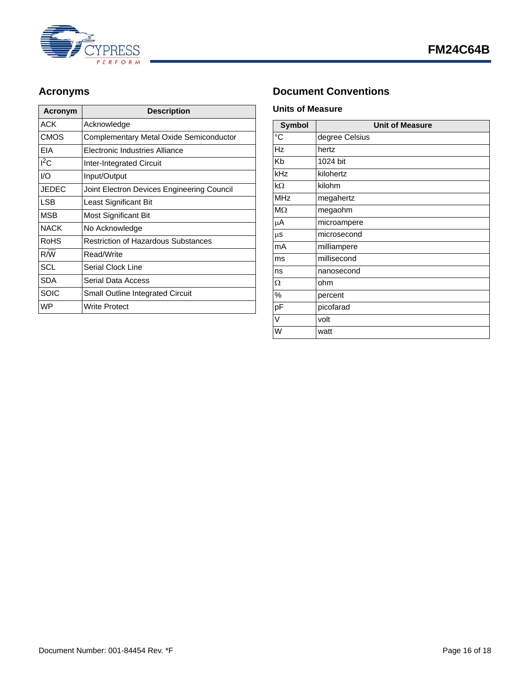

| Acronym     | <b>Description</b>                         |
|-------------|--------------------------------------------|
| ACK         | Acknowledge                                |
| CMOS        | Complementary Metal Oxide Semiconductor    |
| EIA         | Electronic Industries Alliance             |
| $I^2C$      | <b>Inter-Integrated Circuit</b>            |
| I/O         | Input/Output                               |
| JEDEC       | Joint Electron Devices Engineering Council |
| <b>LSB</b>  | Least Significant Bit                      |
| MSB         | Most Significant Bit                       |
| <b>NACK</b> | No Acknowledge                             |
| RoHS        | <b>Restriction of Hazardous Substances</b> |
| R/W         | Read/Write                                 |
| <b>SCL</b>  | Serial Clock Line                          |
| <b>SDA</b>  | Serial Data Access                         |
| SOIC        | <b>Small Outline Integrated Circuit</b>    |
| <b>WP</b>   | Write Protect                              |

## <span id="page-15-0"></span>Acronyms **Document Conventions**

#### <span id="page-15-2"></span><span id="page-15-1"></span>**Units of Measure**

| <b>Symbol</b>  | <b>Unit of Measure</b> |
|----------------|------------------------|
| $\overline{C}$ | degree Celsius         |
| <b>Hz</b>      | hertz                  |
| Kb             | 1024 bit               |
| kHz            | kilohertz              |
| $k\Omega$      | kilohm                 |
| <b>MHz</b>     | megahertz              |
| $M\Omega$      | megaohm                |
| μA             | microampere            |
| $\mu$ S        | microsecond            |
| mA             | milliampere            |
| ms             | millisecond            |
| ns             | nanosecond             |
| Ω              | ohm                    |
| %              | percent                |
| pF             | picofarad              |
| V              | volt                   |
| W              | watt                   |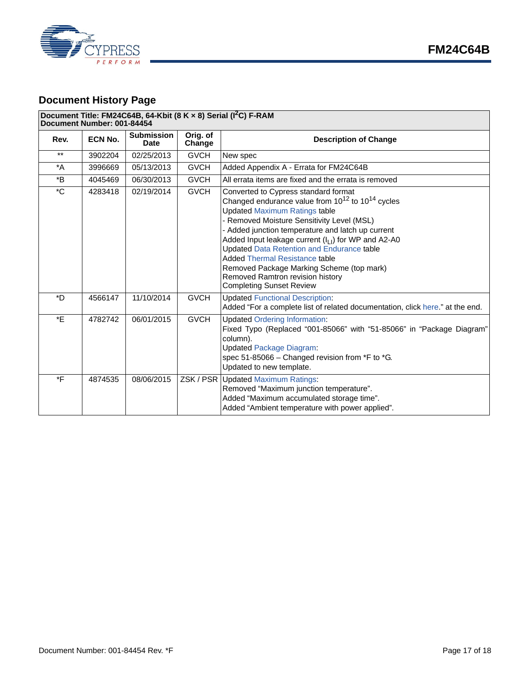



## <span id="page-16-0"></span>**Document History Page**

#### **Document Title: FM24C64B, 64-Kbit (8 K × 8) Serial (I2C) F-RAM**

**Document Number: 001-84454**

| Rev.             | ECN No. | <b>Submission</b><br><b>Date</b> | Orig. of<br>Change | <b>Description of Change</b>                                                                                                                                                                                                                                                                                                                                                                                                                                                                                   |
|------------------|---------|----------------------------------|--------------------|----------------------------------------------------------------------------------------------------------------------------------------------------------------------------------------------------------------------------------------------------------------------------------------------------------------------------------------------------------------------------------------------------------------------------------------------------------------------------------------------------------------|
| $***$            | 3902204 | 02/25/2013                       | <b>GVCH</b>        | New spec                                                                                                                                                                                                                                                                                                                                                                                                                                                                                                       |
| $^*A$            | 3996669 | 05/13/2013                       | <b>GVCH</b>        | Added Appendix A - Errata for FM24C64B                                                                                                                                                                                                                                                                                                                                                                                                                                                                         |
| $*_{\mathsf{B}}$ | 4045469 | 06/30/2013                       | <b>GVCH</b>        | All errata items are fixed and the errata is removed                                                                                                                                                                                                                                                                                                                                                                                                                                                           |
| $^{\star}$ C     | 4283418 | 02/19/2014                       | <b>GVCH</b>        | Converted to Cypress standard format<br>Changed endurance value from $10^{12}$ to $10^{14}$ cycles<br><b>Updated Maximum Ratings table</b><br>Removed Moisture Sensitivity Level (MSL)<br>- Added junction temperature and latch up current<br>Added Input leakage current $(IL1)$ for WP and A2-A0<br><b>Updated Data Retention and Endurance table</b><br>Added Thermal Resistance table<br>Removed Package Marking Scheme (top mark)<br>Removed Ramtron revision history<br><b>Completing Sunset Review</b> |
| $*D$             | 4566147 | 11/10/2014                       | <b>GVCH</b>        | <b>Updated Functional Description:</b><br>Added "For a complete list of related documentation, click here." at the end.                                                                                                                                                                                                                                                                                                                                                                                        |
| *E               | 4782742 | 06/01/2015                       | <b>GVCH</b>        | <b>Updated Ordering Information:</b><br>Fixed Typo (Replaced "001-85066" with "51-85066" in "Package Diagram"<br>column).<br><b>Updated Package Diagram:</b><br>spec 51-85066 - Changed revision from *F to *G.<br>Updated to new template.                                                                                                                                                                                                                                                                    |
| *F               | 4874535 | 08/06/2015                       | ZSK/PSR            | <b>Updated Maximum Ratings:</b><br>Removed "Maximum junction temperature".<br>Added "Maximum accumulated storage time".<br>Added "Ambient temperature with power applied".                                                                                                                                                                                                                                                                                                                                     |